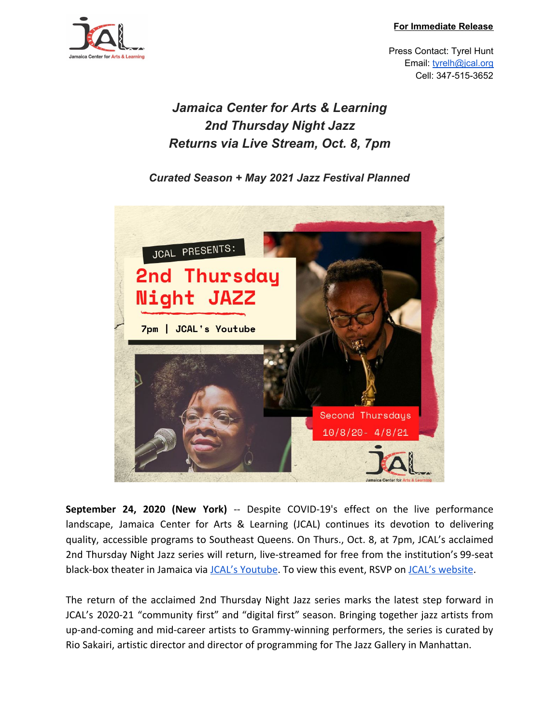**For Immediate Release**



Press Contact: Tyrel Hunt Email: [tyrelh@jcal.org](mailto:tyrelh@jcal.org) Cell: 347-515-3652

## *Jamaica Center for Arts & Learning 2nd Thursday Night Jazz Returns via Live Stream, Oct. 8, 7pm*

*Curated Season + May 2021 Jazz Festival Planned*



**September 24, 2020 (New York)** -- Despite COVID-19's effect on the live performance landscape, Jamaica Center for Arts & Learning (JCAL) continues its devotion to delivering quality, accessible programs to Southeast Queens. On Thurs., Oct. 8, at 7pm, JCAL's acclaimed 2nd Thursday Night Jazz series will return, live-streamed for free from the institution's 99-seat black-box theater in Jamaica via [JCAL's Youtube.](https://www.youtube.com/channel/UC_D_xuUkmrnHrDUFsg7FZCA) To view this event, RSVP on [JCAL's website.](https://jcal.meeter-app.com/event/CL7r05mzEx)

The return of the acclaimed 2nd Thursday Night Jazz series marks the latest step forward in JCAL's 2020-21 "community first" and "digital first" season. Bringing together jazz artists from up-and-coming and mid-career artists to Grammy-winning performers, the series is curated by Rio Sakairi, artistic director and director of programming for The Jazz Gallery in Manhattan.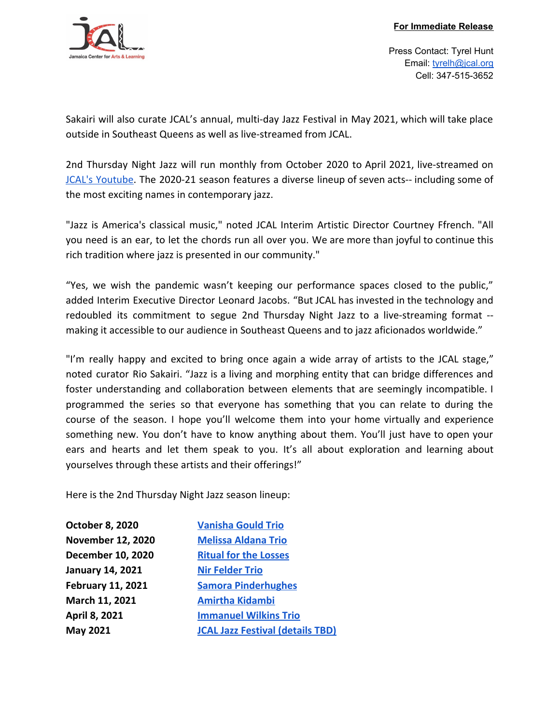

Press Contact: Tyrel Hunt Email: [tyrelh@jcal.org](mailto:tyrelh@jcal.org) Cell: 347-515-3652

Sakairi will also curate JCAL's annual, multi-day Jazz Festival in May 2021, which will take place outside in Southeast Queens as well as live-streamed from JCAL.

2nd Thursday Night Jazz will run monthly from October 2020 to April 2021, live-streamed on JCAL's [Youtube](https://www.youtube.com/channel/UC_D_xuUkmrnHrDUFsg7FZCA). The 2020-21 season features a diverse lineup of seven acts-- including some of the most exciting names in contemporary jazz.

"Jazz is America's classical music," noted JCAL Interim Artistic Director Courtney Ffrench. "All you need is an ear, to let the chords run all over you. We are more than joyful to continue this rich tradition where jazz is presented in our community."

"Yes, we wish the pandemic wasn't keeping our performance spaces closed to the public," added Interim Executive Director Leonard Jacobs. "But JCAL has invested in the technology and redoubled its commitment to segue 2nd Thursday Night Jazz to a live-streaming format - making it accessible to our audience in Southeast Queens and to jazz aficionados worldwide."

"I'm really happy and excited to bring once again a wide array of artists to the JCAL stage," noted curator Rio Sakairi. "Jazz is a living and morphing entity that can bridge differences and foster understanding and collaboration between elements that are seemingly incompatible. I programmed the series so that everyone has something that you can relate to during the course of the season. I hope you'll welcome them into your home virtually and experience something new. You don't have to know anything about them. You'll just have to open your ears and hearts and let them speak to you. It's all about exploration and learning about yourselves through these artists and their offerings!"

Here is the 2nd Thursday Night Jazz season lineup:

| <b>October 8, 2020</b>   | <b>Vanisha Gould Trio</b>               |
|--------------------------|-----------------------------------------|
| <b>November 12, 2020</b> | <b>Melissa Aldana Trio</b>              |
| <b>December 10, 2020</b> | <b>Ritual for the Losses</b>            |
| <b>January 14, 2021</b>  | <b>Nir Felder Trio</b>                  |
| <b>February 11, 2021</b> | <b>Samora Pinderhughes</b>              |
| March 11, 2021           | <b>Amirtha Kidambi</b>                  |
| April 8, 2021            | <b>Immanuel Wilkins Trio</b>            |
| May 2021                 | <b>JCAL Jazz Festival (details TBD)</b> |